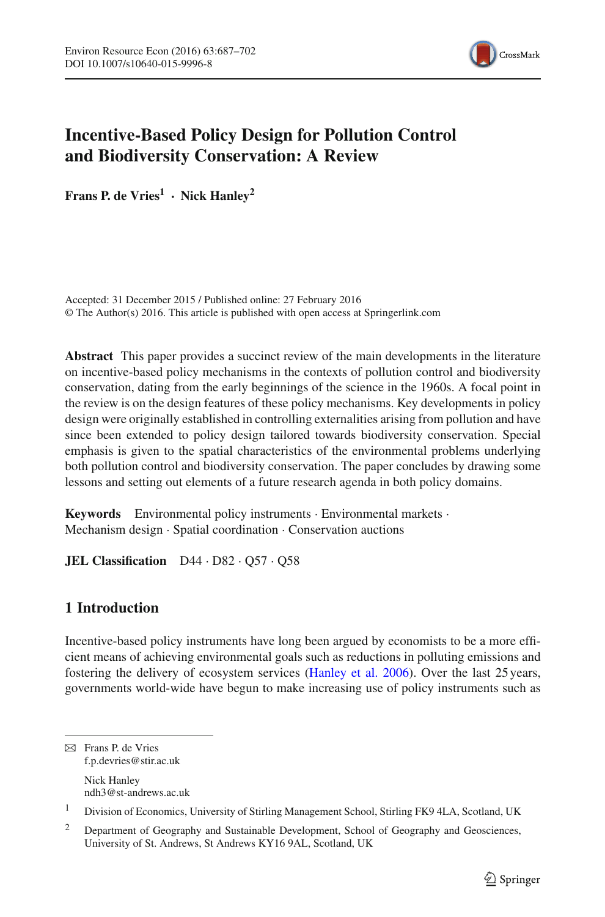

# **Incentive-Based Policy Design for Pollution Control and Biodiversity Conservation: A Review**

**Frans P. de Vries<sup>1</sup> · Nick Hanley2**

Accepted: 31 December 2015 / Published online: 27 February 2016 © The Author(s) 2016. This article is published with open access at Springerlink.com

**Abstract** This paper provides a succinct review of the main developments in the literature on incentive-based policy mechanisms in the contexts of pollution control and biodiversity conservation, dating from the early beginnings of the science in the 1960s. A focal point in the review is on the design features of these policy mechanisms. Key developments in policy design were originally established in controlling externalities arising from pollution and have since been extended to policy design tailored towards biodiversity conservation. Special emphasis is given to the spatial characteristics of the environmental problems underlying both pollution control and biodiversity conservation. The paper concludes by drawing some lessons and setting out elements of a future research agenda in both policy domains.

**Keywords** Environmental policy instruments · Environmental markets · Mechanism design · Spatial coordination · Conservation auctions

**JEL Classification** D44 · D82 · Q57 · Q58

### **1 Introduction**

Incentive-based policy instruments have long been argued by economists to be a more efficient means of achieving environmental goals such as reductions in polluting emissions and fostering the delivery of ecosystem services [\(Hanley et al. 2006](#page-13-0)). Over the last 25 years, governments world-wide have begun to make increasing use of policy instruments such as

 $\boxtimes$  Frans P. de Vries f.p.devries@stir.ac.uk

Nick Hanley ndh3@st-andrews.ac.uk

<sup>&</sup>lt;sup>1</sup> Division of Economics, University of Stirling Management School, Stirling FK9 4LA, Scotland, UK

<sup>&</sup>lt;sup>2</sup> Department of Geography and Sustainable Development, School of Geography and Geosciences, University of St. Andrews, St Andrews KY16 9AL, Scotland, UK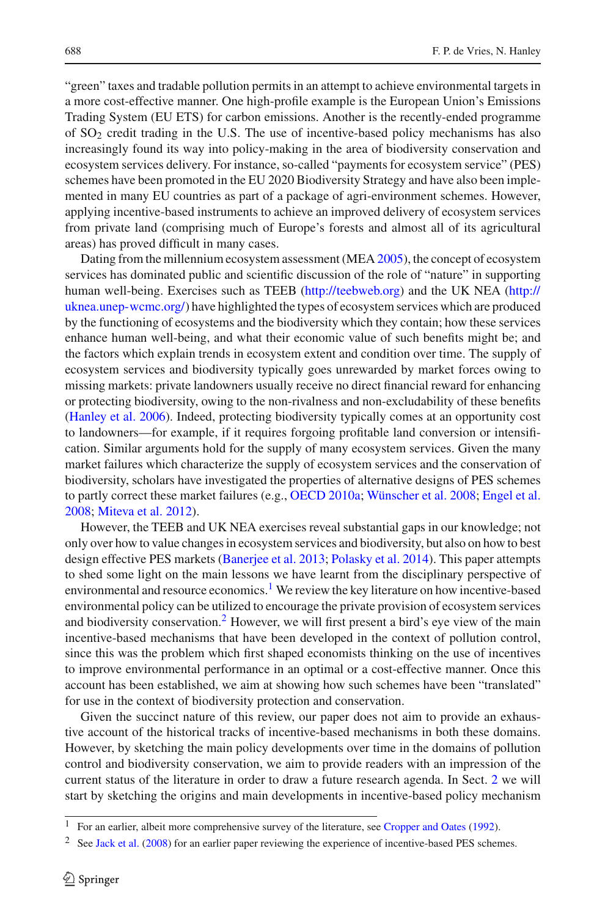"green" taxes and tradable pollution permits in an attempt to achieve environmental targets in a more cost-effective manner. One high-profile example is the European Union's Emissions Trading System (EU ETS) for carbon emissions. Another is the recently-ended programme of  $SO<sub>2</sub>$  credit trading in the U.S. The use of incentive-based policy mechanisms has also increasingly found its way into policy-making in the area of biodiversity conservation and ecosystem services delivery. For instance, so-called "payments for ecosystem service" (PES) schemes have been promoted in the EU 2020 Biodiversity Strategy and have also been implemented in many EU countries as part of a package of agri-environment schemes. However, applying incentive-based instruments to achieve an improved delivery of ecosystem services from private land (comprising much of Europe's forests and almost all of its agricultural areas) has proved difficult in many cases.

Dating from the millennium ecosystem assessment (MEA [2005](#page-14-0)), the concept of ecosystem services has dominated public and scientific discussion of the role of "nature" in supporting human well-being. Exercises such as TEEB [\(http://teebweb.org\)](http://teebweb.org) and the UK NEA [\(http://](http://uknea.unep-wcmc.org/) [uknea.unep-wcmc.org/\)](http://uknea.unep-wcmc.org/) have highlighted the types of ecosystem services which are produced by the functioning of ecosystems and the biodiversity which they contain; how these services enhance human well-being, and what their economic value of such benefits might be; and the factors which explain trends in ecosystem extent and condition over time. The supply of ecosystem services and biodiversity typically goes unrewarded by market forces owing to missing markets: private landowners usually receive no direct financial reward for enhancing or protecting biodiversity, owing to the non-rivalness and non-excludability of these benefits [\(Hanley et al. 2006](#page-13-0)). Indeed, protecting biodiversity typically comes at an opportunity cost to landowners—for example, if it requires forgoing profitable land conversion or intensification. Similar arguments hold for the supply of many ecosystem services. Given the many market failures which characterize the supply of ecosystem services and the conservation of biodiversity, scholars have investigated the properties of alternative designs of PES schemes to partly correct these market failures (e.g., [OECD 2010a;](#page-14-1) [Wünscher et al. 2008;](#page-15-0) [Engel et al.](#page-13-1) [2008](#page-13-1); [Miteva et al. 2012\)](#page-14-2).

However, the TEEB and UK NEA exercises reveal substantial gaps in our knowledge; not only over how to value changes in ecosystem services and biodiversity, but also on how to best design effective PES markets [\(Banerjee et al. 2013](#page-12-0); [Polasky et al. 2014\)](#page-14-3). This paper attempts to shed some light on the main lessons we have learnt from the disciplinary perspective of environmental and resource economics.<sup>[1](#page-1-0)</sup> We review the key literature on how incentive-based environmental policy can be utilized to encourage the private provision of ecosystem services and biodiversity conservation.<sup>2</sup> However, we will first present a bird's eye view of the main incentive-based mechanisms that have been developed in the context of pollution control, since this was the problem which first shaped economists thinking on the use of incentives to improve environmental performance in an optimal or a cost-effective manner. Once this account has been established, we aim at showing how such schemes have been "translated" for use in the context of biodiversity protection and conservation.

Given the succinct nature of this review, our paper does not aim to provide an exhaustive account of the historical tracks of incentive-based mechanisms in both these domains. However, by sketching the main policy developments over time in the domains of pollution control and biodiversity conservation, we aim to provide readers with an impression of the current status of the literature in order to draw a future research agenda. In Sect. [2](#page-2-0) we will start by sketching the origins and main developments in incentive-based policy mechanism

<sup>1</sup> For an earlier, albeit more comprehensive survey of the literature, see [Cropper and Oates](#page-13-2) [\(1992](#page-13-2)).

<span id="page-1-1"></span><span id="page-1-0"></span><sup>&</sup>lt;sup>2</sup> See [Jack et al.](#page-14-4) [\(2008\)](#page-14-4) for an earlier paper reviewing the experience of incentive-based PES schemes.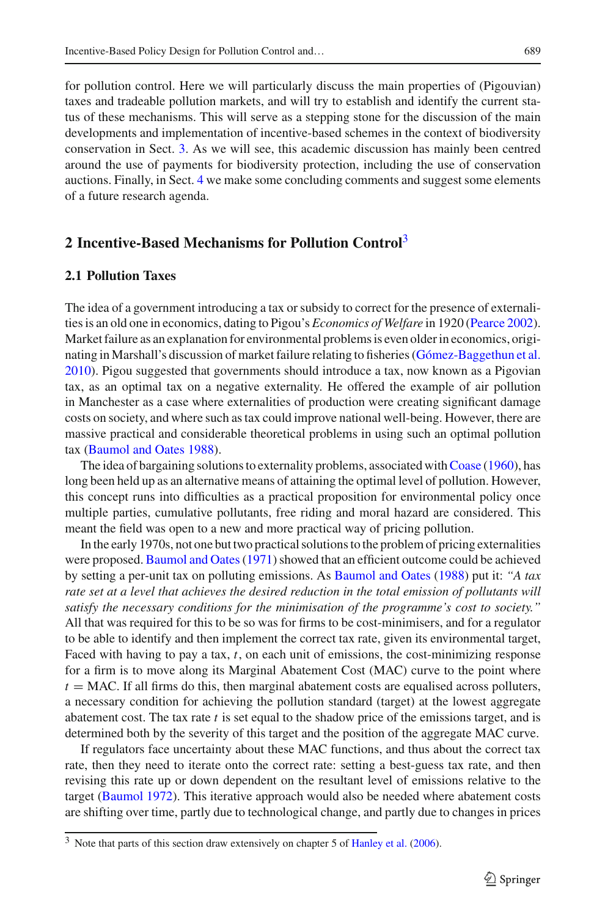for pollution control. Here we will particularly discuss the main properties of (Pigouvian) taxes and tradeable pollution markets, and will try to establish and identify the current status of these mechanisms. This will serve as a stepping stone for the discussion of the main developments and implementation of incentive-based schemes in the context of biodiversity conservation in Sect. [3.](#page-7-0) As we will see, this academic discussion has mainly been centred around the use of payments for biodiversity protection, including the use of conservation auctions. Finally, in Sect. [4](#page-11-0) we make some concluding comments and suggest some elements of a future research agenda.

## <span id="page-2-0"></span>**2 Incentive-Based Mechanisms for Pollution Control**[3](#page-2-1)

#### **2.1 Pollution Taxes**

The idea of a government introducing a tax or subsidy to correct for the presence of externalities is an old one in economics, dating to Pigou's *Economics of Welfare* in 1920 [\(Pearce 2002\)](#page-14-5). Market failure as an explanation for environmental problems is even older in economics, originating in Marshall's discussion of market failure relating to fisheries [\(Gómez-Baggethun et al.](#page-13-3) [2010](#page-13-3)). Pigou suggested that governments should introduce a tax, now known as a Pigovian tax, as an optimal tax on a negative externality. He offered the example of air pollution in Manchester as a case where externalities of production were creating significant damage costs on society, and where such as tax could improve national well-being. However, there are massive practical and considerable theoretical problems in using such an optimal pollution tax [\(Baumol and Oates 1988\)](#page-13-4).

The idea of bargaining solutions to externality problems, associated with[Coase](#page-13-5) [\(1960](#page-13-5)), has long been held up as an alternative means of attaining the optimal level of pollution. However, this concept runs into difficulties as a practical proposition for environmental policy once multiple parties, cumulative pollutants, free riding and moral hazard are considered. This meant the field was open to a new and more practical way of pricing pollution.

In the early 1970s, not one but two practical solutions to the problem of pricing externalities were proposed. Baumol and Oates (1971) showed that an efficient outcome could be achieved by setting a per-unit tax on polluting emissions. As [Baumol and Oates](#page-13-4) [\(1988\)](#page-13-4) put it: *"A tax rate set at a level that achieves the desired reduction in the total emission of pollutants will satisfy the necessary conditions for the minimisation of the programme's cost to society."* All that was required for this to be so was for firms to be cost-minimisers, and for a regulator to be able to identify and then implement the correct tax rate, given its environmental target, Faced with having to pay a tax, *t*, on each unit of emissions, the cost-minimizing response for a firm is to move along its Marginal Abatement Cost (MAC) curve to the point where  $t = MAC$ . If all firms do this, then marginal abatement costs are equalised across polluters, a necessary condition for achieving the pollution standard (target) at the lowest aggregate abatement cost. The tax rate *t* is set equal to the shadow price of the emissions target, and is determined both by the severity of this target and the position of the aggregate MAC curve.

If regulators face uncertainty about these MAC functions, and thus about the correct tax rate, then they need to iterate onto the correct rate: setting a best-guess tax rate, and then revising this rate up or down dependent on the resultant level of emissions relative to the target [\(Baumol 1972\)](#page-13-7). This iterative approach would also be needed where abatement costs are shifting over time, partly due to technological change, and partly due to changes in prices

<span id="page-2-1"></span><sup>3</sup> Note that parts of this section draw extensively on chapter 5 of [Hanley et al.](#page-13-0) [\(2006](#page-13-0)).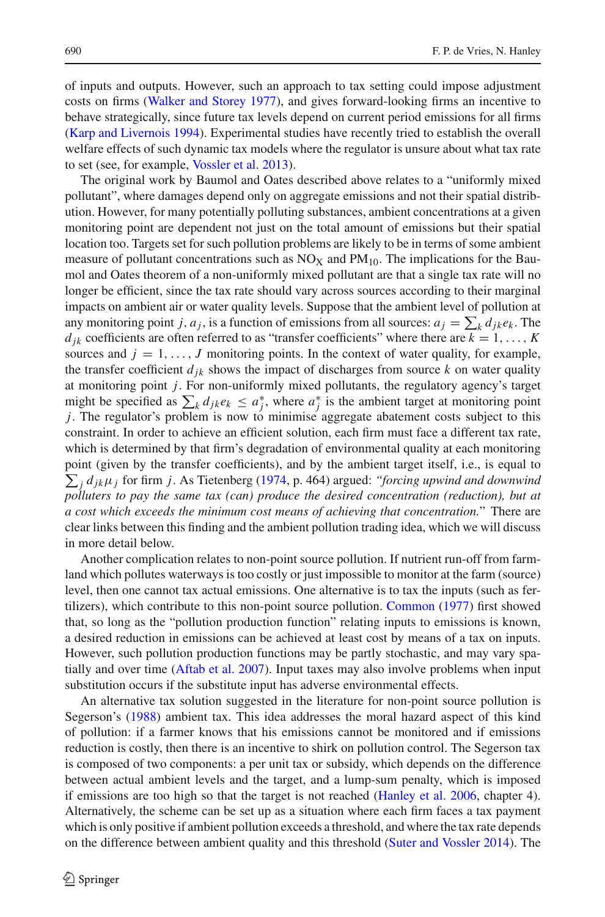of inputs and outputs. However, such an approach to tax setting could impose adjustment costs on firms [\(Walker and Storey 1977\)](#page-15-1), and gives forward-looking firms an incentive to behave strategically, since future tax levels depend on current period emissions for all firms [\(Karp and Livernois 1994](#page-14-6)). Experimental studies have recently tried to establish the overall welfare effects of such dynamic tax models where the regulator is unsure about what tax rate to set (see, for example, [Vossler et al. 2013\)](#page-15-2).

The original work by Baumol and Oates described above relates to a "uniformly mixed pollutant", where damages depend only on aggregate emissions and not their spatial distribution. However, for many potentially polluting substances, ambient concentrations at a given monitoring point are dependent not just on the total amount of emissions but their spatial location too. Targets set for such pollution problems are likely to be in terms of some ambient measure of pollutant concentrations such as  $NO<sub>X</sub>$  and  $PM<sub>10</sub>$ . The implications for the Baumol and Oates theorem of a non-uniformly mixed pollutant are that a single tax rate will no longer be efficient, since the tax rate should vary across sources according to their marginal impacts on ambient air or water quality levels. Suppose that the ambient level of pollution at any monitoring point *j*, *a<sub>j</sub>*, is a function of emissions from all sources:  $a_j = \sum_k d_{jk} e_k$ . The  $d_{ik}$  coefficients are often referred to as "transfer coefficients" where there are  $k = 1, \ldots, K$ sources and  $j = 1, \ldots, J$  monitoring points. In the context of water quality, for example, the transfer coefficient  $d_{ik}$  shows the impact of discharges from source  $k$  on water quality at monitoring point *j*. For non-uniformly mixed pollutants, the regulatory agency's target might be specified as  $\sum_k d_{jk}e_k \le a_j^*$ , where  $a_j^*$  is the ambient target at monitoring point *j*. The regulator's problem is now to minimise aggregate abatement costs subject to this constraint. In order to achieve an efficient solution, each firm must face a different tax rate, which is determined by that firm's degradation of environmental quality at each monitoring point (given by the transfer coefficients), and by the ambient target itself, i.e., is equal to  $\sum_{j} d_{jk} \mu_j$  for firm *j*. As Tietenberg [\(1974](#page-15-3), p. 464) argued: *"forcing upwind and downwind polluters to pay the same tax (can) produce the desired concentration (reduction), but at a cost which exceeds the minimum cost means of achieving that concentration.*" There are clear links between this finding and the ambient pollution trading idea, which we will discuss in more detail below.

Another complication relates to non-point source pollution. If nutrient run-off from farmland which pollutes waterways is too costly or just impossible to monitor at the farm (source) level, then one cannot tax actual emissions. One alternative is to tax the inputs (such as fertilizers), which contribute to this non-point source pollution. [Common](#page-13-8) [\(1977\)](#page-13-8) first showed that, so long as the "pollution production function" relating inputs to emissions is known, a desired reduction in emissions can be achieved at least cost by means of a tax on inputs. However, such pollution production functions may be partly stochastic, and may vary spatially and over time [\(Aftab et al. 2007](#page-12-1)). Input taxes may also involve problems when input substitution occurs if the substitute input has adverse environmental effects.

An alternative tax solution suggested in the literature for non-point source pollution is Segerson's [\(1988\)](#page-14-7) ambient tax. This idea addresses the moral hazard aspect of this kind of pollution: if a farmer knows that his emissions cannot be monitored and if emissions reduction is costly, then there is an incentive to shirk on pollution control. The Segerson tax is composed of two components: a per unit tax or subsidy, which depends on the difference between actual ambient levels and the target, and a lump-sum penalty, which is imposed if emissions are too high so that the target is not reached [\(Hanley et al. 2006](#page-13-0), chapter 4). Alternatively, the scheme can be set up as a situation where each firm faces a tax payment which is only positive if ambient pollution exceeds a threshold, and where the tax rate depends on the difference between ambient quality and this threshold [\(Suter and Vossler 2014](#page-15-4)). The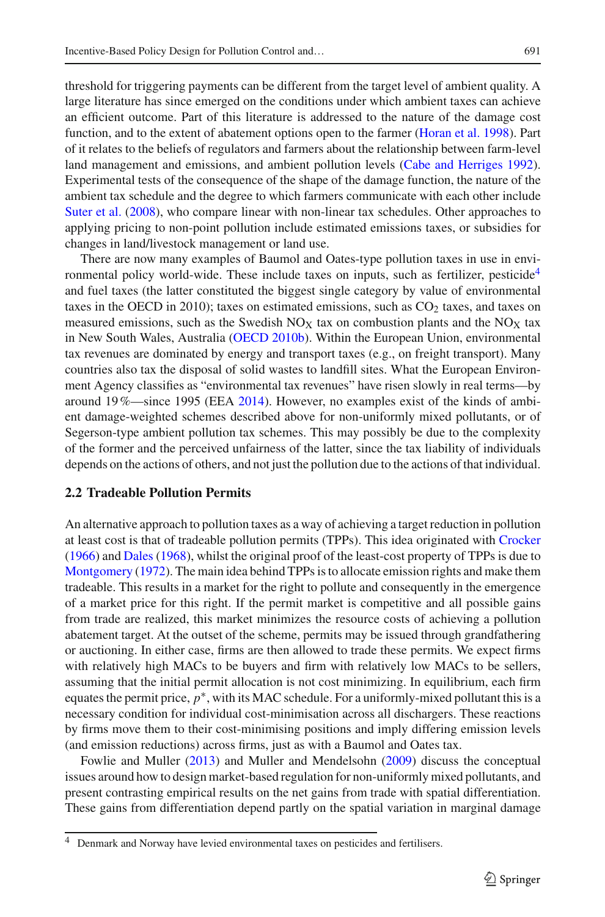threshold for triggering payments can be different from the target level of ambient quality. A large literature has since emerged on the conditions under which ambient taxes can achieve an efficient outcome. Part of this literature is addressed to the nature of the damage cost function, and to the extent of abatement options open to the farmer [\(Horan et al. 1998](#page-14-8)). Part of it relates to the beliefs of regulators and farmers about the relationship between farm-level land management and emissions, and ambient pollution levels [\(Cabe and Herriges 1992\)](#page-13-9). Experimental tests of the consequence of the shape of the damage function, the nature of the ambient tax schedule and the degree to which farmers communicate with each other include [Suter et al.](#page-15-5) [\(2008](#page-15-5)), who compare linear with non-linear tax schedules. Other approaches to applying pricing to non-point pollution include estimated emissions taxes, or subsidies for changes in land/livestock management or land use.

There are now many examples of Baumol and Oates-type pollution taxes in use in environmental policy world-wide. These include taxes on inputs, such as fertilizer, pesticide<sup>4</sup> and fuel taxes (the latter constituted the biggest single category by value of environmental taxes in the OECD in 2010); taxes on estimated emissions, such as  $CO<sub>2</sub>$  taxes, and taxes on measured emissions, such as the Swedish  $N_{\rm OX}$  tax on combustion plants and the  $N_{\rm OX}$  tax in New South Wales, Australia [\(OECD 2010b](#page-14-9)). Within the European Union, environmental tax revenues are dominated by energy and transport taxes (e.g., on freight transport). Many countries also tax the disposal of solid wastes to landfill sites. What the European Environment Agency classifies as "environmental tax revenues" have risen slowly in real terms—by around 19%—since 1995 (EEA [2014](#page-13-10)). However, no examples exist of the kinds of ambient damage-weighted schemes described above for non-uniformly mixed pollutants, or of Segerson-type ambient pollution tax schemes. This may possibly be due to the complexity of the former and the perceived unfairness of the latter, since the tax liability of individuals depends on the actions of others, and not just the pollution due to the actions of that individual.

#### **2.2 Tradeable Pollution Permits**

An alternative approach to pollution taxes as a way of achieving a target reduction in pollution at least cost is that of tradeable pollution permits (TPPs). This idea originated with [Crocker](#page-13-11) [\(1966](#page-13-11)) and [Dales](#page-13-12) [\(1968](#page-13-12)), whilst the original proof of the least-cost property of TPPs is due to [Montgomery](#page-14-10) [\(1972](#page-14-10)). The main idea behind TPPs is to allocate emission rights and make them tradeable. This results in a market for the right to pollute and consequently in the emergence of a market price for this right. If the permit market is competitive and all possible gains from trade are realized, this market minimizes the resource costs of achieving a pollution abatement target. At the outset of the scheme, permits may be issued through grandfathering or auctioning. In either case, firms are then allowed to trade these permits. We expect firms with relatively high MACs to be buyers and firm with relatively low MACs to be sellers, assuming that the initial permit allocation is not cost minimizing. In equilibrium, each firm equates the permit price, *p*∗, with its MAC schedule. For a uniformly-mixed pollutant this is a necessary condition for individual cost-minimisation across all dischargers. These reactions by firms move them to their cost-minimising positions and imply differing emission levels (and emission reductions) across firms, just as with a Baumol and Oates tax.

Fowlie and Muller [\(2013\)](#page-13-13) and Muller and Mendelsohn [\(2009](#page-14-11)) discuss the conceptual issues around how to design market-based regulation for non-uniformly mixed pollutants, and present contrasting empirical results on the net gains from trade with spatial differentiation. These gains from differentiation depend partly on the spatial variation in marginal damage

<span id="page-4-0"></span>Denmark and Norway have levied environmental taxes on pesticides and fertilisers.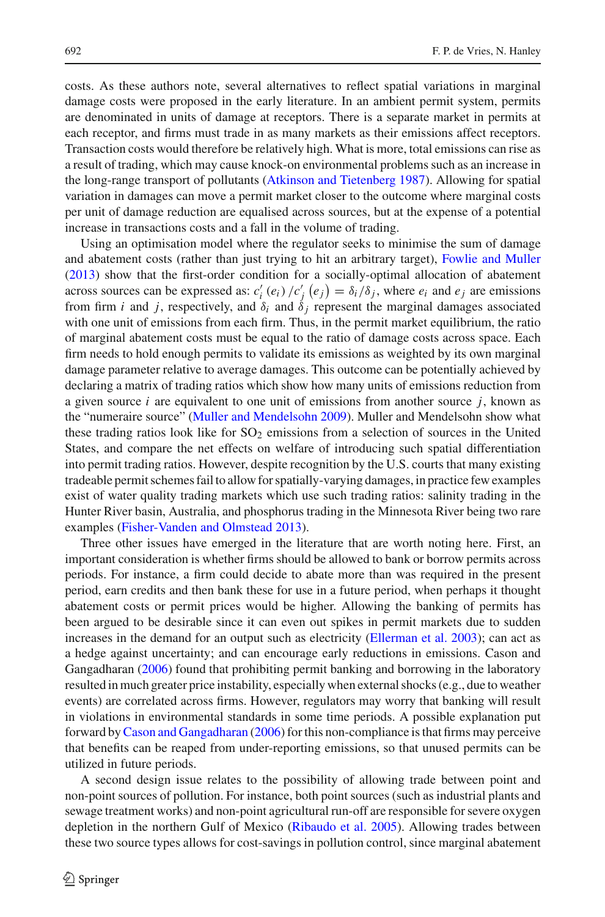costs. As these authors note, several alternatives to reflect spatial variations in marginal damage costs were proposed in the early literature. In an ambient permit system, permits are denominated in units of damage at receptors. There is a separate market in permits at each receptor, and firms must trade in as many markets as their emissions affect receptors. Transaction costs would therefore be relatively high. What is more, total emissions can rise as a result of trading, which may cause knock-on environmental problems such as an increase in the long-range transport of pollutants [\(Atkinson and Tietenberg 1987\)](#page-12-2). Allowing for spatial variation in damages can move a permit market closer to the outcome where marginal costs per unit of damage reduction are equalised across sources, but at the expense of a potential increase in transactions costs and a fall in the volume of trading.

Using an optimisation model where the regulator seeks to minimise the sum of damage and abatement costs (rather than just trying to hit an arbitrary target), [Fowlie and Muller](#page-13-13) [\(2013](#page-13-13)) show that the first-order condition for a socially-optimal allocation of abatement across sources can be expressed as:  $c'_{i}(e_{i})/c'_{j}(e_{j}) = \delta_{i}/\delta_{j}$ , where  $e_{i}$  and  $e_{j}$  are emissions from firm *i* and *j*, respectively, and  $\delta_i$  and  $\delta_j$  represent the marginal damages associated with one unit of emissions from each firm. Thus, in the permit market equilibrium, the ratio of marginal abatement costs must be equal to the ratio of damage costs across space. Each firm needs to hold enough permits to validate its emissions as weighted by its own marginal damage parameter relative to average damages. This outcome can be potentially achieved by declaring a matrix of trading ratios which show how many units of emissions reduction from a given source *i* are equivalent to one unit of emissions from another source *j*, known as the "numeraire source" [\(Muller and Mendelsohn 2009\)](#page-14-11). Muller and Mendelsohn show what these trading ratios look like for  $SO<sub>2</sub>$  emissions from a selection of sources in the United States, and compare the net effects on welfare of introducing such spatial differentiation into permit trading ratios. However, despite recognition by the U.S. courts that many existing tradeable permit schemes fail to allow for spatially-varying damages, in practice few examples exist of water quality trading markets which use such trading ratios: salinity trading in the Hunter River basin, Australia, and phosphorus trading in the Minnesota River being two rare examples [\(Fisher-Vanden and Olmstead 2013](#page-13-14)).

Three other issues have emerged in the literature that are worth noting here. First, an important consideration is whether firms should be allowed to bank or borrow permits across periods. For instance, a firm could decide to abate more than was required in the present period, earn credits and then bank these for use in a future period, when perhaps it thought abatement costs or permit prices would be higher. Allowing the banking of permits has been argued to be desirable since it can even out spikes in permit markets due to sudden increases in the demand for an output such as electricity [\(Ellerman et al. 2003\)](#page-13-15); can act as a hedge against uncertainty; and can encourage early reductions in emissions. Cason and Gangadharan [\(2006](#page-13-16)) found that prohibiting permit banking and borrowing in the laboratory resulted in much greater price instability, especially when external shocks (e.g., due to weather events) are correlated across firms. However, regulators may worry that banking will result in violations in environmental standards in some time periods. A possible explanation put forward by[Cason and Gangadharan](#page-13-16) [\(2006](#page-13-16)) for this non-compliance is that firms may perceive that benefits can be reaped from under-reporting emissions, so that unused permits can be utilized in future periods.

A second design issue relates to the possibility of allowing trade between point and non-point sources of pollution. For instance, both point sources (such as industrial plants and sewage treatment works) and non-point agricultural run-off are responsible for severe oxygen depletion in the northern Gulf of Mexico [\(Ribaudo et al. 2005\)](#page-14-12). Allowing trades between these two source types allows for cost-savings in pollution control, since marginal abatement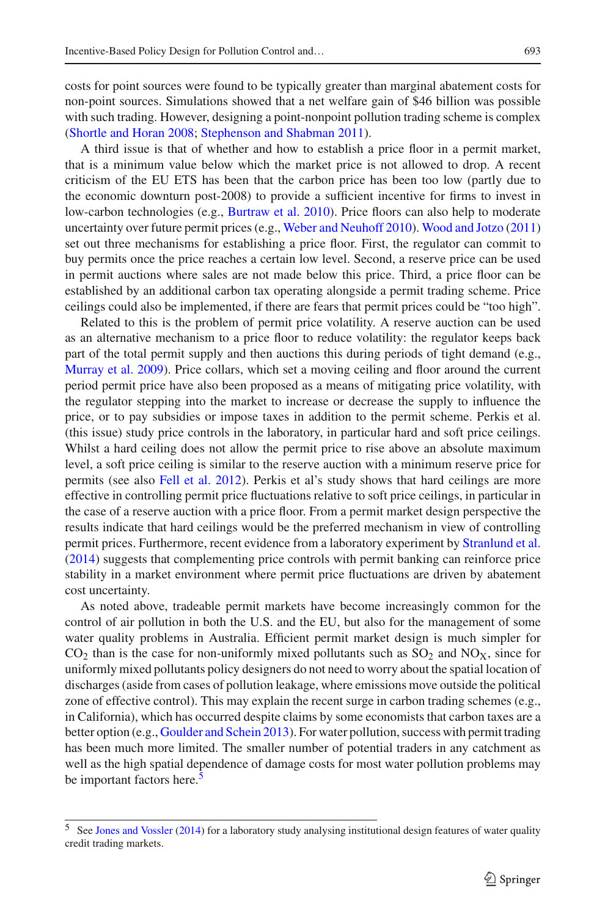costs for point sources were found to be typically greater than marginal abatement costs for non-point sources. Simulations showed that a net welfare gain of \$46 billion was possible with such trading. However, designing a point-nonpoint pollution trading scheme is complex [\(Shortle and Horan 2008](#page-14-13); [Stephenson and Shabman 2011\)](#page-14-14).

A third issue is that of whether and how to establish a price floor in a permit market, that is a minimum value below which the market price is not allowed to drop. A recent criticism of the EU ETS has been that the carbon price has been too low (partly due to the economic downturn post-2008) to provide a sufficient incentive for firms to invest in low-carbon technologies (e.g., [Burtraw et al. 2010\)](#page-13-17). Price floors can also help to moderate uncertainty over future permit prices (e.g., [Weber and Neuhoff 2010](#page-15-6)). [Wood and Jotzo](#page-15-7) [\(2011\)](#page-15-7) set out three mechanisms for establishing a price floor. First, the regulator can commit to buy permits once the price reaches a certain low level. Second, a reserve price can be used in permit auctions where sales are not made below this price. Third, a price floor can be established by an additional carbon tax operating alongside a permit trading scheme. Price ceilings could also be implemented, if there are fears that permit prices could be "too high".

Related to this is the problem of permit price volatility. A reserve auction can be used as an alternative mechanism to a price floor to reduce volatility: the regulator keeps back part of the total permit supply and then auctions this during periods of tight demand (e.g., [Murray et al. 2009\)](#page-14-15). Price collars, which set a moving ceiling and floor around the current period permit price have also been proposed as a means of mitigating price volatility, with the regulator stepping into the market to increase or decrease the supply to influence the price, or to pay subsidies or impose taxes in addition to the permit scheme. Perkis et al. (this issue) study price controls in the laboratory, in particular hard and soft price ceilings. Whilst a hard ceiling does not allow the permit price to rise above an absolute maximum level, a soft price ceiling is similar to the reserve auction with a minimum reserve price for permits (see also [Fell et al. 2012\)](#page-13-18). Perkis et al's study shows that hard ceilings are more effective in controlling permit price fluctuations relative to soft price ceilings, in particular in the case of a reserve auction with a price floor. From a permit market design perspective the results indicate that hard ceilings would be the preferred mechanism in view of controlling permit prices. Furthermore, recent evidence from a laboratory experiment by [Stranlund et al.](#page-14-16) [\(2014](#page-14-16)) suggests that complementing price controls with permit banking can reinforce price stability in a market environment where permit price fluctuations are driven by abatement cost uncertainty.

As noted above, tradeable permit markets have become increasingly common for the control of air pollution in both the U.S. and the EU, but also for the management of some water quality problems in Australia. Efficient permit market design is much simpler for  $CO<sub>2</sub>$  than is the case for non-uniformly mixed pollutants such as  $SO<sub>2</sub>$  and  $NO<sub>X</sub>$ , since for uniformly mixed pollutants policy designers do not need to worry about the spatial location of discharges (aside from cases of pollution leakage, where emissions move outside the political zone of effective control). This may explain the recent surge in carbon trading schemes (e.g., in California), which has occurred despite claims by some economists that carbon taxes are a better option (e.g., [Goulder and Schein 2013](#page-13-19)). For water pollution, success with permit trading has been much more limited. The smaller number of potential traders in any catchment as well as the high spatial dependence of damage costs for most water pollution problems may be important factors here.<sup>5</sup>

<span id="page-6-0"></span><sup>5</sup> See [Jones and Vossler](#page-14-17) [\(2014](#page-14-17)) for a laboratory study analysing institutional design features of water quality credit trading markets.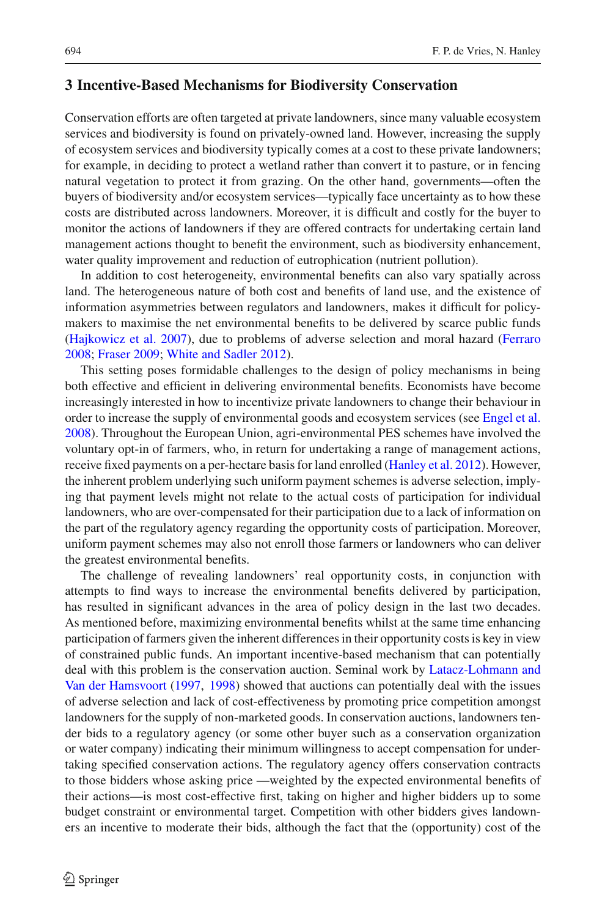#### <span id="page-7-0"></span>**3 Incentive-Based Mechanisms for Biodiversity Conservation**

Conservation efforts are often targeted at private landowners, since many valuable ecosystem services and biodiversity is found on privately-owned land. However, increasing the supply of ecosystem services and biodiversity typically comes at a cost to these private landowners; for example, in deciding to protect a wetland rather than convert it to pasture, or in fencing natural vegetation to protect it from grazing. On the other hand, governments—often the buyers of biodiversity and/or ecosystem services—typically face uncertainty as to how these costs are distributed across landowners. Moreover, it is difficult and costly for the buyer to monitor the actions of landowners if they are offered contracts for undertaking certain land management actions thought to benefit the environment, such as biodiversity enhancement, water quality improvement and reduction of eutrophication (nutrient pollution).

In addition to cost heterogeneity, environmental benefits can also vary spatially across land. The heterogeneous nature of both cost and benefits of land use, and the existence of information asymmetries between regulators and landowners, makes it difficult for policymakers to maximise the net environmental benefits to be delivered by scarce public funds [\(Hajkowicz et al. 2007\)](#page-13-20), due to problems of adverse selection and moral hazard [\(Ferraro](#page-13-21) [2008](#page-13-21); [Fraser 2009](#page-13-22); [White and Sadler 2012](#page-15-8)).

This setting poses formidable challenges to the design of policy mechanisms in being both effective and efficient in delivering environmental benefits. Economists have become increasingly interested in how to incentivize private landowners to change their behaviour in order to increase the supply of environmental goods and ecosystem services (see [Engel et al.](#page-13-1) [2008](#page-13-1)). Throughout the European Union, agri-environmental PES schemes have involved the voluntary opt-in of farmers, who, in return for undertaking a range of management actions, receive fixed payments on a per-hectare basis for land enrolled [\(Hanley et al. 2012\)](#page-14-18). However, the inherent problem underlying such uniform payment schemes is adverse selection, implying that payment levels might not relate to the actual costs of participation for individual landowners, who are over-compensated for their participation due to a lack of information on the part of the regulatory agency regarding the opportunity costs of participation. Moreover, uniform payment schemes may also not enroll those farmers or landowners who can deliver the greatest environmental benefits.

The challenge of revealing landowners' real opportunity costs, in conjunction with attempts to find ways to increase the environmental benefits delivered by participation, has resulted in significant advances in the area of policy design in the last two decades. As mentioned before, maximizing environmental benefits whilst at the same time enhancing participation of farmers given the inherent differences in their opportunity costs is key in view of constrained public funds. An important incentive-based mechanism that can potentially deal with this prob[lem](#page-14-19) [is](#page-14-19) [the](#page-14-19) [conservation](#page-14-19) [auction.](#page-14-19) [Seminal](#page-14-19) [work](#page-14-19) [by](#page-14-19) Latacz-Lohmann and Van der Hamsvoort [\(1997,](#page-14-19) [1998](#page-14-20)) showed that auctions can potentially deal with the issues of adverse selection and lack of cost-effectiveness by promoting price competition amongst landowners for the supply of non-marketed goods. In conservation auctions, landowners tender bids to a regulatory agency (or some other buyer such as a conservation organization or water company) indicating their minimum willingness to accept compensation for undertaking specified conservation actions. The regulatory agency offers conservation contracts to those bidders whose asking price —weighted by the expected environmental benefits of their actions—is most cost-effective first, taking on higher and higher bidders up to some budget constraint or environmental target. Competition with other bidders gives landowners an incentive to moderate their bids, although the fact that the (opportunity) cost of the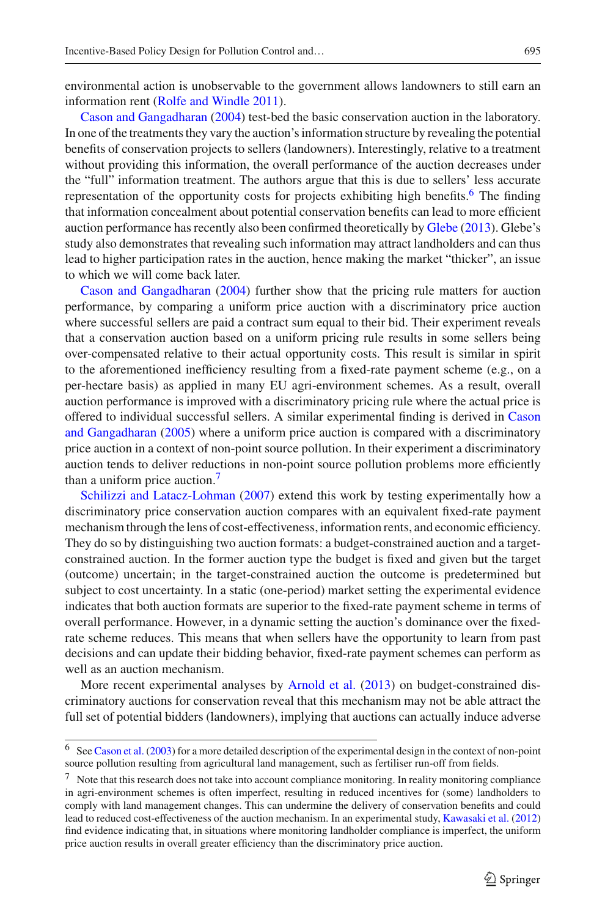environmental action is unobservable to the government allows landowners to still earn an information rent [\(Rolfe and Windle 2011\)](#page-14-21).

Cason and Gangadharan [\(2004](#page-13-23)) test-bed the basic conservation auction in the laboratory. In one of the treatments they vary the auction's information structure by revealing the potential benefits of conservation projects to sellers (landowners). Interestingly, relative to a treatment without providing this information, the overall performance of the auction decreases under the "full" information treatment. The authors argue that this is due to sellers' less accurate representation of the opportunity costs for projects exhibiting high benefits.<sup>6</sup> The finding that information concealment about potential conservation benefits can lead to more efficient auction performance has recently also been confirmed theoretically by [Glebe](#page-13-24) [\(2013\)](#page-13-24). Glebe's study also demonstrates that revealing such information may attract landholders and can thus lead to higher participation rates in the auction, hence making the market "thicker", an issue [to](#page-13-23) [which](#page-13-23) [we](#page-13-23) [will](#page-13-23) [come](#page-13-23) [back](#page-13-23) later.

Cason and Gangadharan [\(2004\)](#page-13-23) further show that the pricing rule matters for auction performance, by comparing a uniform price auction with a discriminatory price auction where successful sellers are paid a contract sum equal to their bid. Their experiment reveals that a conservation auction based on a uniform pricing rule results in some sellers being over-compensated relative to their actual opportunity costs. This result is similar in spirit to the aforementioned inefficiency resulting from a fixed-rate payment scheme (e.g., on a per-hectare basis) as applied in many EU agri-environment schemes. As a result, overall auction performance is improved with a discriminatory pricing rule where the actual price is offered to individ[ual](#page-13-25) [successful](#page-13-25) [sellers.](#page-13-25) [A](#page-13-25) [similar](#page-13-25) [experimental](#page-13-25) [finding](#page-13-25) [is](#page-13-25) [derived](#page-13-25) [in](#page-13-25) Cason and Gangadharan [\(2005\)](#page-13-25) where a uniform price auction is compared with a discriminatory price auction in a context of non-point source pollution. In their experiment a discriminatory auction tends to deliver reductions in non-point source pollution problems more efficiently than a uniform price auction.<sup>7</sup>

Schilizzi and Latacz-Lohman [\(2007](#page-14-22)) extend this work by testing experimentally how a discriminatory price conservation auction compares with an equivalent fixed-rate payment mechanism through the lens of cost-effectiveness, information rents, and economic efficiency. They do so by distinguishing two auction formats: a budget-constrained auction and a targetconstrained auction. In the former auction type the budget is fixed and given but the target (outcome) uncertain; in the target-constrained auction the outcome is predetermined but subject to cost uncertainty. In a static (one-period) market setting the experimental evidence indicates that both auction formats are superior to the fixed-rate payment scheme in terms of overall performance. However, in a dynamic setting the auction's dominance over the fixedrate scheme reduces. This means that when sellers have the opportunity to learn from past decisions and can update their bidding behavior, fixed-rate payment schemes can perform as well as an auction mechanism.

More recent experimental analyses by [Arnold et al.](#page-12-3) [\(2013](#page-12-3)) on budget-constrained discriminatory auctions for conservation reveal that this mechanism may not be able attract the full set of potential bidders (landowners), implying that auctions can actually induce adverse

<span id="page-8-0"></span><sup>&</sup>lt;sup>6</sup> See [Cason et al.](#page-13-26) [\(2003\)](#page-13-26) for a more detailed description of the experimental design in the context of non-point source pollution resulting from agricultural land management, such as fertiliser run-off from fields.

<span id="page-8-1"></span><sup>7</sup> Note that this research does not take into account compliance monitoring. In reality monitoring compliance in agri-environment schemes is often imperfect, resulting in reduced incentives for (some) landholders to comply with land management changes. This can undermine the delivery of conservation benefits and could lead to reduced cost-effectiveness of the auction mechanism. In an experimental study, [Kawasaki et al.](#page-14-23) [\(2012](#page-14-23)) find evidence indicating that, in situations where monitoring landholder compliance is imperfect, the uniform price auction results in overall greater efficiency than the discriminatory price auction.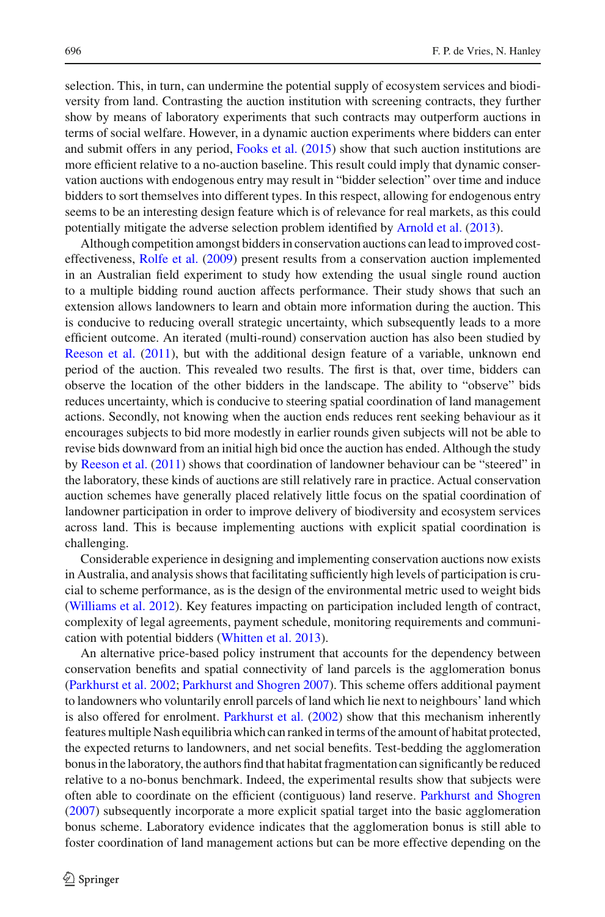selection. This, in turn, can undermine the potential supply of ecosystem services and biodiversity from land. Contrasting the auction institution with screening contracts, they further show by means of laboratory experiments that such contracts may outperform auctions in terms of social welfare. However, in a dynamic auction experiments where bidders can enter and submit offers in any period, [Fooks et al.](#page-13-27) [\(2015](#page-13-27)) show that such auction institutions are more efficient relative to a no-auction baseline. This result could imply that dynamic conservation auctions with endogenous entry may result in "bidder selection" over time and induce bidders to sort themselves into different types. In this respect, allowing for endogenous entry seems to be an interesting design feature which is of relevance for real markets, as this could potentially mitigate the adverse selection problem identified by [Arnold et al.](#page-12-3) [\(2013](#page-12-3)).

Although competition amongst bidders in conservation auctions can lead to improved costeffectiveness, [Rolfe et al.](#page-14-24) [\(2009](#page-14-24)) present results from a conservation auction implemented in an Australian field experiment to study how extending the usual single round auction to a multiple bidding round auction affects performance. Their study shows that such an extension allows landowners to learn and obtain more information during the auction. This is conducive to reducing overall strategic uncertainty, which subsequently leads to a more efficient outcome. An iterated (multi-round) conservation auction has also been studied by [Reeson et al.](#page-14-25) [\(2011](#page-14-25)), but with the additional design feature of a variable, unknown end period of the auction. This revealed two results. The first is that, over time, bidders can observe the location of the other bidders in the landscape. The ability to "observe" bids reduces uncertainty, which is conducive to steering spatial coordination of land management actions. Secondly, not knowing when the auction ends reduces rent seeking behaviour as it encourages subjects to bid more modestly in earlier rounds given subjects will not be able to revise bids downward from an initial high bid once the auction has ended. Although the study by [Reeson et al.](#page-14-25) [\(2011\)](#page-14-25) shows that coordination of landowner behaviour can be "steered" in the laboratory, these kinds of auctions are still relatively rare in practice. Actual conservation auction schemes have generally placed relatively little focus on the spatial coordination of landowner participation in order to improve delivery of biodiversity and ecosystem services across land. This is because implementing auctions with explicit spatial coordination is challenging.

Considerable experience in designing and implementing conservation auctions now exists in Australia, and analysis shows that facilitating sufficiently high levels of participation is crucial to scheme performance, as is the design of the environmental metric used to weight bids [\(Williams et al. 2012](#page-15-9)). Key features impacting on participation included length of contract, complexity of legal agreements, payment schedule, monitoring requirements and communication with potential bidders [\(Whitten et al. 2013](#page-15-10)).

An alternative price-based policy instrument that accounts for the dependency between conservation benefits and spatial connectivity of land parcels is the agglomeration bonus [\(Parkhurst et al. 2002;](#page-14-26) [Parkhurst and Shogren 2007](#page-14-27)). This scheme offers additional payment to landowners who voluntarily enroll parcels of land which lie next to neighbours' land which is also offered for enrolment. [Parkhurst et al.](#page-14-26) [\(2002\)](#page-14-26) show that this mechanism inherently features multiple Nash equilibria which can ranked in terms of the amount of habitat protected, the expected returns to landowners, and net social benefits. Test-bedding the agglomeration bonus in the laboratory, the authors find that habitat fragmentation can significantly be reduced relative to a no-bonus benchmark. Indeed, the experimental results show that subjects were often able to coordinate on the efficient (contiguous) land reserve. [Parkhurst and Shogren](#page-14-27) [\(2007](#page-14-27)) subsequently incorporate a more explicit spatial target into the basic agglomeration bonus scheme. Laboratory evidence indicates that the agglomeration bonus is still able to foster coordination of land management actions but can be more effective depending on the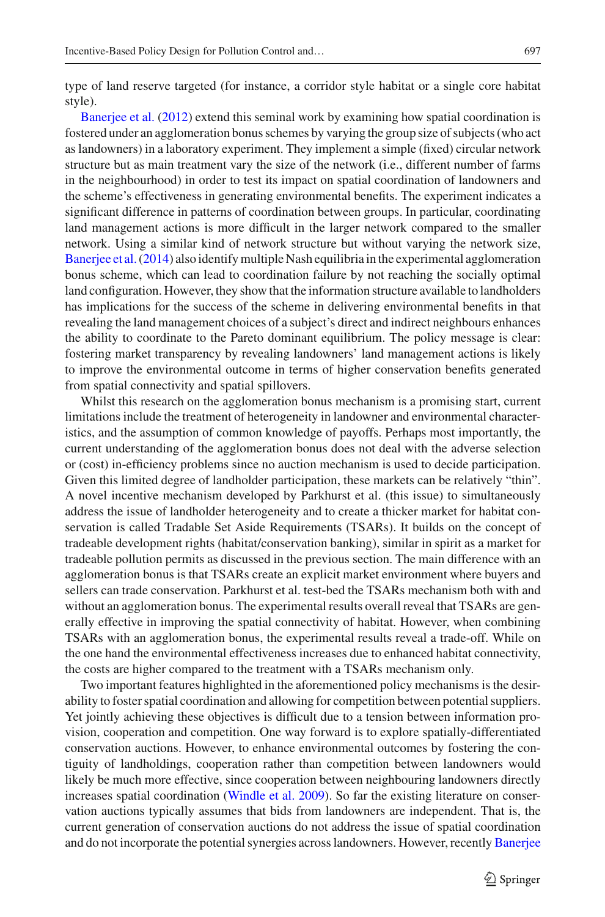type of land reserve targeted (for instance, a corridor style habitat or a single core habitat style).

Banerjee et al. [\(2012\)](#page-12-4) extend this seminal work by examining how spatial coordination is fostered under an agglomeration bonus schemes by varying the group size of subjects (who act as landowners) in a laboratory experiment. They implement a simple (fixed) circular network structure but as main treatment vary the size of the network (i.e., different number of farms in the neighbourhood) in order to test its impact on spatial coordination of landowners and the scheme's effectiveness in generating environmental benefits. The experiment indicates a significant difference in patterns of coordination between groups. In particular, coordinating land management actions is more difficult in the larger network compared to the smaller network. Using a similar kind of network structure but without varying the network size, [Banerjee et al.\(2014\)](#page-13-28) also identify multiple Nash equilibria in the experimental agglomeration bonus scheme, which can lead to coordination failure by not reaching the socially optimal land configuration. However, they show that the information structure available to landholders has implications for the success of the scheme in delivering environmental benefits in that revealing the land management choices of a subject's direct and indirect neighbours enhances the ability to coordinate to the Pareto dominant equilibrium. The policy message is clear: fostering market transparency by revealing landowners' land management actions is likely to improve the environmental outcome in terms of higher conservation benefits generated from spatial connectivity and spatial spillovers.

Whilst this research on the agglomeration bonus mechanism is a promising start, current limitations include the treatment of heterogeneity in landowner and environmental characteristics, and the assumption of common knowledge of payoffs. Perhaps most importantly, the current understanding of the agglomeration bonus does not deal with the adverse selection or (cost) in-efficiency problems since no auction mechanism is used to decide participation. Given this limited degree of landholder participation, these markets can be relatively "thin". A novel incentive mechanism developed by Parkhurst et al. (this issue) to simultaneously address the issue of landholder heterogeneity and to create a thicker market for habitat conservation is called Tradable Set Aside Requirements (TSARs). It builds on the concept of tradeable development rights (habitat/conservation banking), similar in spirit as a market for tradeable pollution permits as discussed in the previous section. The main difference with an agglomeration bonus is that TSARs create an explicit market environment where buyers and sellers can trade conservation. Parkhurst et al. test-bed the TSARs mechanism both with and without an agglomeration bonus. The experimental results overall reveal that TSARs are generally effective in improving the spatial connectivity of habitat. However, when combining TSARs with an agglomeration bonus, the experimental results reveal a trade-off. While on the one hand the environmental effectiveness increases due to enhanced habitat connectivity, the costs are higher compared to the treatment with a TSARs mechanism only.

Two important features highlighted in the aforementioned policy mechanisms is the desirability to foster spatial coordination and allowing for competition between potential suppliers. Yet jointly achieving these objectives is difficult due to a tension between information provision, cooperation and competition. One way forward is to explore spatially-differentiated conservation auctions. However, to enhance environmental outcomes by fostering the contiguity of landholdings, cooperation rather than competition between landowners would likely be much more effective, since cooperation between neighbouring landowners directly increases spatial coordination [\(Windle et al. 2009\)](#page-15-11). So far the existing literature on conservation auctions typically assumes that bids from landowners are independent. That is, the current generation of conservation auctions do not address the issue of spatial coordination and do not incorporate the potential synergies across landowners. However, recently Banerjee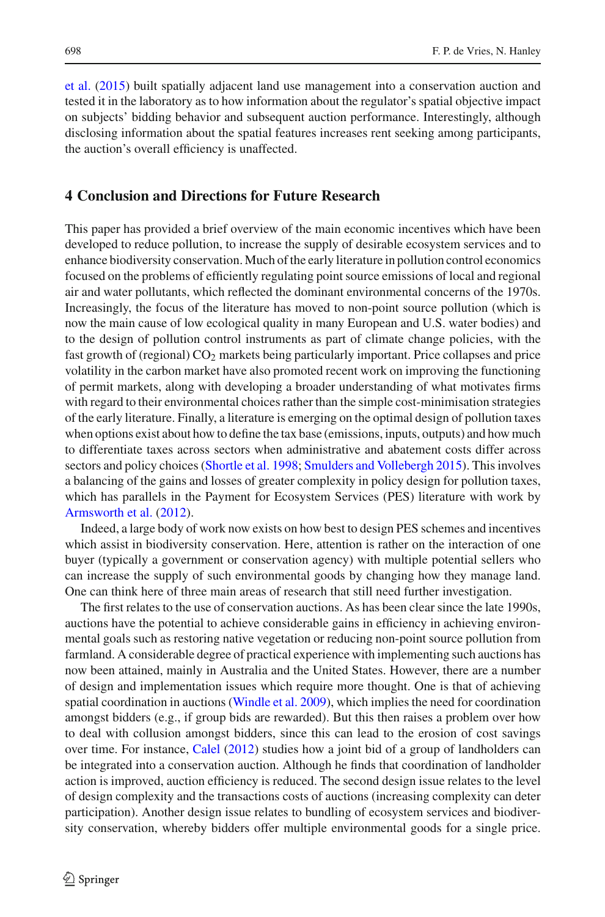et al. [\(2015](#page-13-29)) built spatially adjacent land use management into a conservation auction and tested it in the laboratory as to how information about the regulator's spatial objective impact on subjects' bidding behavior and subsequent auction performance. Interestingly, although disclosing information about the spatial features increases rent seeking among participants, the auction's overall efficiency is unaffected.

#### <span id="page-11-0"></span>**4 Conclusion and Directions for Future Research**

This paper has provided a brief overview of the main economic incentives which have been developed to reduce pollution, to increase the supply of desirable ecosystem services and to enhance biodiversity conservation. Much of the early literature in pollution control economics focused on the problems of efficiently regulating point source emissions of local and regional air and water pollutants, which reflected the dominant environmental concerns of the 1970s. Increasingly, the focus of the literature has moved to non-point source pollution (which is now the main cause of low ecological quality in many European and U.S. water bodies) and to the design of pollution control instruments as part of climate change policies, with the fast growth of (regional) CO<sub>2</sub> markets being particularly important. Price collapses and price volatility in the carbon market have also promoted recent work on improving the functioning of permit markets, along with developing a broader understanding of what motivates firms with regard to their environmental choices rather than the simple cost-minimisation strategies of the early literature. Finally, a literature is emerging on the optimal design of pollution taxes when options exist about how to define the tax base (emissions, inputs, outputs) and how much to differentiate taxes across sectors when administrative and abatement costs differ across sectors and policy choices [\(Shortle et al. 1998;](#page-14-28) [Smulders and Vollebergh 2015\)](#page-14-29). This involves a balancing of the gains and losses of greater complexity in policy design for pollution taxes, which has parallels in the Payment for Ecosystem Services (PES) literature with work by [Armsworth et al.](#page-12-5) [\(2012](#page-12-5)).

Indeed, a large body of work now exists on how best to design PES schemes and incentives which assist in biodiversity conservation. Here, attention is rather on the interaction of one buyer (typically a government or conservation agency) with multiple potential sellers who can increase the supply of such environmental goods by changing how they manage land. One can think here of three main areas of research that still need further investigation.

The first relates to the use of conservation auctions. As has been clear since the late 1990s, auctions have the potential to achieve considerable gains in efficiency in achieving environmental goals such as restoring native vegetation or reducing non-point source pollution from farmland. A considerable degree of practical experience with implementing such auctions has now been attained, mainly in Australia and the United States. However, there are a number of design and implementation issues which require more thought. One is that of achieving spatial coordination in auctions [\(Windle et al. 2009](#page-15-11)), which implies the need for coordination amongst bidders (e.g., if group bids are rewarded). But this then raises a problem over how to deal with collusion amongst bidders, since this can lead to the erosion of cost savings over time. For instance, [Calel](#page-13-30) [\(2012\)](#page-13-30) studies how a joint bid of a group of landholders can be integrated into a conservation auction. Although he finds that coordination of landholder action is improved, auction efficiency is reduced. The second design issue relates to the level of design complexity and the transactions costs of auctions (increasing complexity can deter participation). Another design issue relates to bundling of ecosystem services and biodiversity conservation, whereby bidders offer multiple environmental goods for a single price.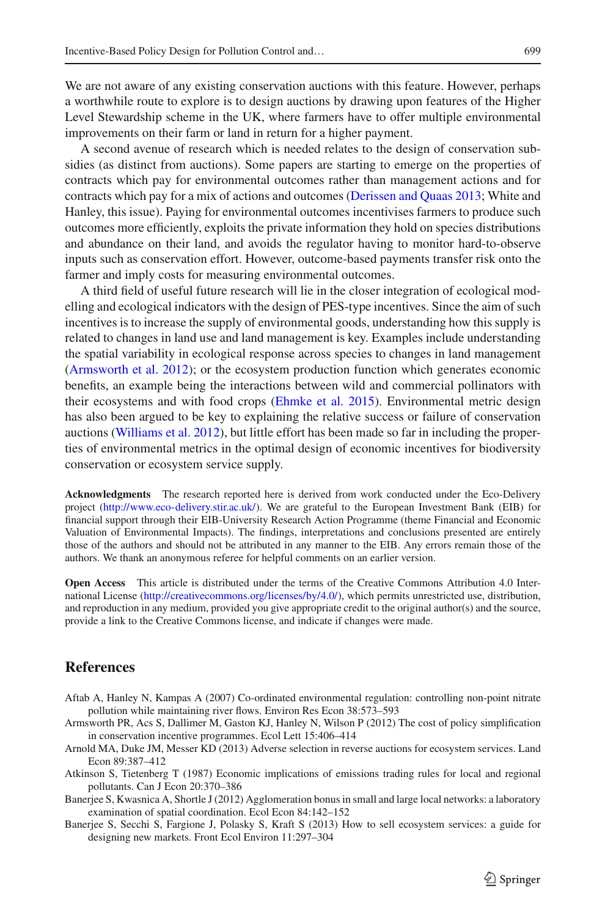We are not aware of any existing conservation auctions with this feature. However, perhaps a worthwhile route to explore is to design auctions by drawing upon features of the Higher Level Stewardship scheme in the UK, where farmers have to offer multiple environmental improvements on their farm or land in return for a higher payment.

A second avenue of research which is needed relates to the design of conservation subsidies (as distinct from auctions). Some papers are starting to emerge on the properties of contracts which pay for environmental outcomes rather than management actions and for contracts which pay for a mix of actions and outcomes [\(Derissen and Quaas 2013;](#page-13-31) White and Hanley, this issue). Paying for environmental outcomes incentivises farmers to produce such outcomes more efficiently, exploits the private information they hold on species distributions and abundance on their land, and avoids the regulator having to monitor hard-to-observe inputs such as conservation effort. However, outcome-based payments transfer risk onto the farmer and imply costs for measuring environmental outcomes.

A third field of useful future research will lie in the closer integration of ecological modelling and ecological indicators with the design of PES-type incentives. Since the aim of such incentives is to increase the supply of environmental goods, understanding how this supply is related to changes in land use and land management is key. Examples include understanding the spatial variability in ecological response across species to changes in land management [\(Armsworth et al. 2012](#page-12-5)); or the ecosystem production function which generates economic benefits, an example being the interactions between wild and commercial pollinators with their ecosystems and with food crops [\(Ehmke et al. 2015](#page-13-32)). Environmental metric design has also been argued to be key to explaining the relative success or failure of conservation auctions [\(Williams et al. 2012\)](#page-15-9), but little effort has been made so far in including the properties of environmental metrics in the optimal design of economic incentives for biodiversity conservation or ecosystem service supply.

**Acknowledgments** The research reported here is derived from work conducted under the Eco-Delivery project [\(http://www.eco-delivery.stir.ac.uk/\)](http://www.eco-delivery.stir.ac.uk/). We are grateful to the European Investment Bank (EIB) for financial support through their EIB-University Research Action Programme (theme Financial and Economic Valuation of Environmental Impacts). The findings, interpretations and conclusions presented are entirely those of the authors and should not be attributed in any manner to the EIB. Any errors remain those of the authors. We thank an anonymous referee for helpful comments on an earlier version.

**Open Access** This article is distributed under the terms of the Creative Commons Attribution 4.0 International License [\(http://creativecommons.org/licenses/by/4.0/\)](http://creativecommons.org/licenses/by/4.0/), which permits unrestricted use, distribution, and reproduction in any medium, provided you give appropriate credit to the original author(s) and the source, provide a link to the Creative Commons license, and indicate if changes were made.

### **References**

- <span id="page-12-1"></span>Aftab A, Hanley N, Kampas A (2007) Co-ordinated environmental regulation: controlling non-point nitrate pollution while maintaining river flows. Environ Res Econ 38:573–593
- <span id="page-12-5"></span>Armsworth PR, Acs S, Dallimer M, Gaston KJ, Hanley N, Wilson P (2012) The cost of policy simplification in conservation incentive programmes. Ecol Lett 15:406–414
- <span id="page-12-3"></span>Arnold MA, Duke JM, Messer KD (2013) Adverse selection in reverse auctions for ecosystem services. Land Econ 89:387–412
- <span id="page-12-2"></span>Atkinson S, Tietenberg T (1987) Economic implications of emissions trading rules for local and regional pollutants. Can J Econ 20:370–386
- <span id="page-12-4"></span>Banerjee S, Kwasnica A, Shortle J (2012) Agglomeration bonus in small and large local networks: a laboratory examination of spatial coordination. Ecol Econ 84:142–152
- <span id="page-12-0"></span>Banerjee S, Secchi S, Fargione J, Polasky S, Kraft S (2013) How to sell ecosystem services: a guide for designing new markets. Front Ecol Environ 11:297–304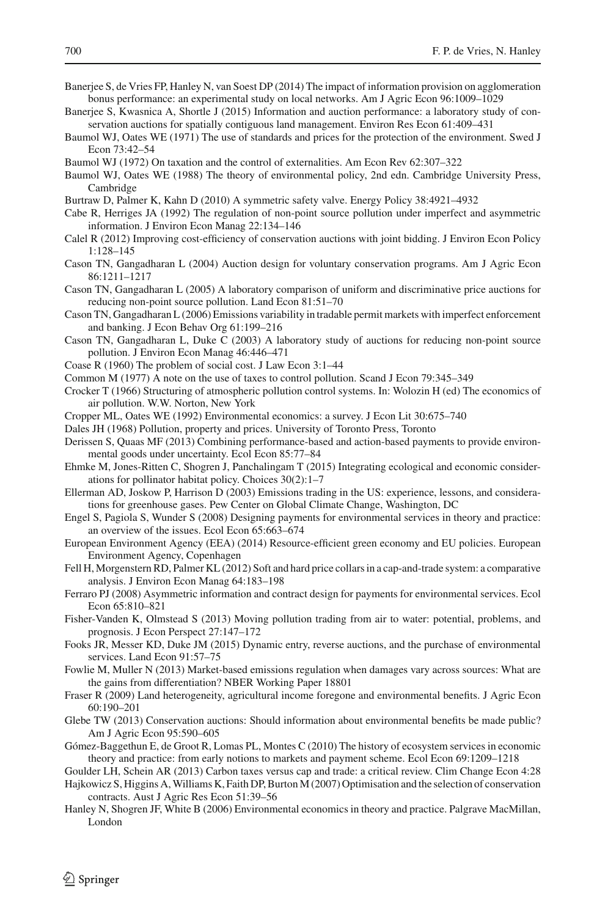- <span id="page-13-28"></span>Banerjee S, de Vries FP, Hanley N, van Soest DP (2014) The impact of information provision on agglomeration bonus performance: an experimental study on local networks. Am J Agric Econ 96:1009–1029
- <span id="page-13-29"></span>Banerjee S, Kwasnica A, Shortle J (2015) Information and auction performance: a laboratory study of conservation auctions for spatially contiguous land management. Environ Res Econ 61:409–431
- <span id="page-13-6"></span>Baumol WJ, Oates WE (1971) The use of standards and prices for the protection of the environment. Swed J Econ 73:42–54
- <span id="page-13-7"></span>Baumol WJ (1972) On taxation and the control of externalities. Am Econ Rev 62:307–322
- <span id="page-13-4"></span>Baumol WJ, Oates WE (1988) The theory of environmental policy, 2nd edn. Cambridge University Press, Cambridge
- <span id="page-13-17"></span>Burtraw D, Palmer K, Kahn D (2010) A symmetric safety valve. Energy Policy 38:4921–4932
- <span id="page-13-9"></span>Cabe R, Herriges JA (1992) The regulation of non-point source pollution under imperfect and asymmetric information. J Environ Econ Manag 22:134–146
- <span id="page-13-30"></span>Calel R (2012) Improving cost-efficiency of conservation auctions with joint bidding. J Environ Econ Policy 1:128–145
- <span id="page-13-23"></span>Cason TN, Gangadharan L (2004) Auction design for voluntary conservation programs. Am J Agric Econ 86:1211–1217
- <span id="page-13-25"></span>Cason TN, Gangadharan L (2005) A laboratory comparison of uniform and discriminative price auctions for reducing non-point source pollution. Land Econ 81:51–70
- <span id="page-13-16"></span>Cason TN, Gangadharan L (2006) Emissions variability in tradable permit markets with imperfect enforcement and banking. J Econ Behav Org 61:199–216
- <span id="page-13-26"></span>Cason TN, Gangadharan L, Duke C (2003) A laboratory study of auctions for reducing non-point source pollution. J Environ Econ Manag 46:446–471
- <span id="page-13-5"></span>Coase R (1960) The problem of social cost. J Law Econ 3:1–44
- <span id="page-13-8"></span>Common M (1977) A note on the use of taxes to control pollution. Scand J Econ 79:345–349
- <span id="page-13-11"></span>Crocker T (1966) Structuring of atmospheric pollution control systems. In: Wolozin H (ed) The economics of air pollution. W.W. Norton, New York
- <span id="page-13-2"></span>Cropper ML, Oates WE (1992) Environmental economics: a survey. J Econ Lit 30:675–740
- <span id="page-13-12"></span>Dales JH (1968) Pollution, property and prices. University of Toronto Press, Toronto
- <span id="page-13-31"></span>Derissen S, Quaas MF (2013) Combining performance-based and action-based payments to provide environmental goods under uncertainty. Ecol Econ 85:77–84
- <span id="page-13-32"></span>Ehmke M, Jones-Ritten C, Shogren J, Panchalingam T (2015) Integrating ecological and economic considerations for pollinator habitat policy. Choices 30(2):1–7
- <span id="page-13-15"></span>Ellerman AD, Joskow P, Harrison D (2003) Emissions trading in the US: experience, lessons, and considerations for greenhouse gases. Pew Center on Global Climate Change, Washington, DC
- <span id="page-13-1"></span>Engel S, Pagiola S, Wunder S (2008) Designing payments for environmental services in theory and practice: an overview of the issues. Ecol Econ 65:663–674
- <span id="page-13-10"></span>European Environment Agency (EEA) (2014) Resource-efficient green economy and EU policies. European Environment Agency, Copenhagen
- <span id="page-13-18"></span>Fell H, Morgenstern RD, Palmer KL (2012) Soft and hard price collars in a cap-and-trade system: a comparative analysis. J Environ Econ Manag 64:183–198
- <span id="page-13-21"></span>Ferraro PJ (2008) Asymmetric information and contract design for payments for environmental services. Ecol Econ 65:810–821
- <span id="page-13-14"></span>Fisher-Vanden K, Olmstead S (2013) Moving pollution trading from air to water: potential, problems, and prognosis. J Econ Perspect 27:147–172
- <span id="page-13-27"></span>Fooks JR, Messer KD, Duke JM (2015) Dynamic entry, reverse auctions, and the purchase of environmental services. Land Econ 91:57–75
- <span id="page-13-13"></span>Fowlie M, Muller N (2013) Market-based emissions regulation when damages vary across sources: What are the gains from differentiation? NBER Working Paper 18801
- <span id="page-13-22"></span>Fraser R (2009) Land heterogeneity, agricultural income foregone and environmental benefits. J Agric Econ 60:190–201
- <span id="page-13-24"></span>Glebe TW (2013) Conservation auctions: Should information about environmental benefits be made public? Am J Agric Econ 95:590–605
- <span id="page-13-3"></span>Gómez-Baggethun E, de Groot R, Lomas PL, Montes C (2010) The history of ecosystem services in economic theory and practice: from early notions to markets and payment scheme. Ecol Econ 69:1209–1218
- Goulder LH, Schein AR (2013) Carbon taxes versus cap and trade: a critical review. Clim Change Econ 4:28 Hajkowicz S, Higgins A,Williams K, Faith DP, Burton M (2007) Optimisation and the selection of conservation
- <span id="page-13-20"></span><span id="page-13-19"></span><span id="page-13-0"></span>contracts. Aust J Agric Res Econ 51:39–56
- Hanley N, Shogren JF, White B (2006) Environmental economics in theory and practice. Palgrave MacMillan, London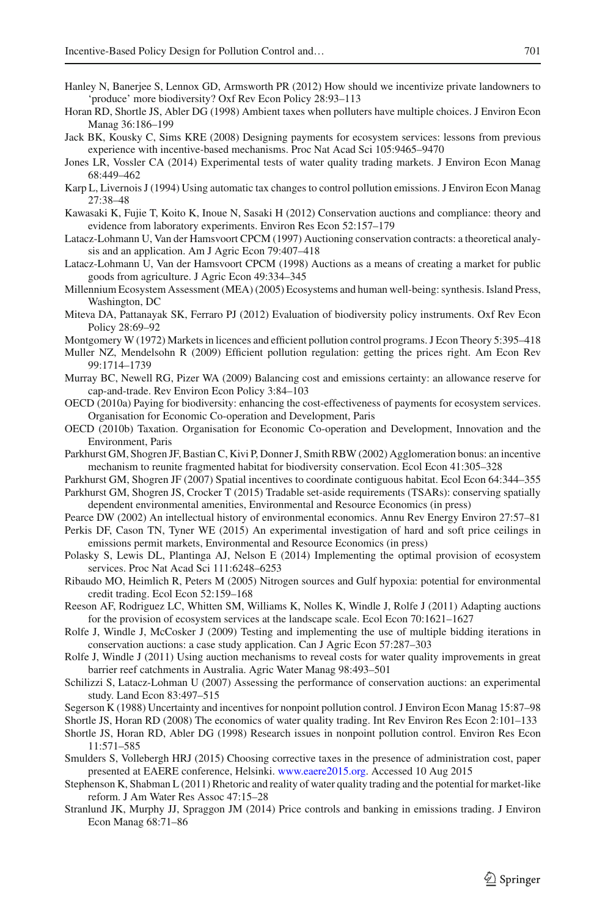- <span id="page-14-18"></span>Hanley N, Banerjee S, Lennox GD, Armsworth PR (2012) How should we incentivize private landowners to 'produce' more biodiversity? Oxf Rev Econ Policy 28:93–113
- <span id="page-14-8"></span>Horan RD, Shortle JS, Abler DG (1998) Ambient taxes when polluters have multiple choices. J Environ Econ Manag 36:186–199
- <span id="page-14-4"></span>Jack BK, Kousky C, Sims KRE (2008) Designing payments for ecosystem services: lessons from previous experience with incentive-based mechanisms. Proc Nat Acad Sci 105:9465–9470
- <span id="page-14-17"></span>Jones LR, Vossler CA (2014) Experimental tests of water quality trading markets. J Environ Econ Manag 68:449–462
- <span id="page-14-6"></span>Karp L, Livernois J (1994) Using automatic tax changes to control pollution emissions. J Environ Econ Manag 27:38–48
- <span id="page-14-23"></span>Kawasaki K, Fujie T, Koito K, Inoue N, Sasaki H (2012) Conservation auctions and compliance: theory and evidence from laboratory experiments. Environ Res Econ 52:157–179
- <span id="page-14-19"></span>Latacz-Lohmann U, Van der Hamsvoort CPCM (1997) Auctioning conservation contracts: a theoretical analysis and an application. Am J Agric Econ 79:407–418
- <span id="page-14-20"></span>Latacz-Lohmann U, Van der Hamsvoort CPCM (1998) Auctions as a means of creating a market for public goods from agriculture. J Agric Econ 49:334–345
- <span id="page-14-0"></span>Millennium Ecosystem Assessment (MEA) (2005) Ecosystems and human well-being: synthesis. Island Press, Washington, DC
- <span id="page-14-2"></span>Miteva DA, Pattanayak SK, Ferraro PJ (2012) Evaluation of biodiversity policy instruments. Oxf Rev Econ Policy 28:69–92
- <span id="page-14-10"></span>Montgomery W (1972) Markets in licences and efficient pollution control programs. J Econ Theory 5:395–418
- <span id="page-14-11"></span>Muller NZ, Mendelsohn R (2009) Efficient pollution regulation: getting the prices right. Am Econ Rev 99:1714–1739
- <span id="page-14-15"></span>Murray BC, Newell RG, Pizer WA (2009) Balancing cost and emissions certainty: an allowance reserve for cap-and-trade. Rev Environ Econ Policy 3:84–103
- <span id="page-14-1"></span>OECD (2010a) Paying for biodiversity: enhancing the cost-effectiveness of payments for ecosystem services. Organisation for Economic Co-operation and Development, Paris
- <span id="page-14-9"></span>OECD (2010b) Taxation. Organisation for Economic Co-operation and Development, Innovation and the Environment, Paris
- <span id="page-14-26"></span>Parkhurst GM, Shogren JF, Bastian C, Kivi P, Donner J, Smith RBW (2002) Agglomeration bonus: an incentive mechanism to reunite fragmented habitat for biodiversity conservation. Ecol Econ 41:305–328

<span id="page-14-27"></span>Parkhurst GM, Shogren JF (2007) Spatial incentives to coordinate contiguous habitat. Ecol Econ 64:344–355

- Parkhurst GM, Shogren JS, Crocker T (2015) Tradable set-aside requirements (TSARs): conserving spatially dependent environmental amenities, Environmental and Resource Economics (in press)
- <span id="page-14-5"></span>Pearce DW (2002) An intellectual history of environmental economics. Annu Rev Energy Environ 27:57–81
- Perkis DF, Cason TN, Tyner WE (2015) An experimental investigation of hard and soft price ceilings in emissions permit markets, Environmental and Resource Economics (in press)
- <span id="page-14-3"></span>Polasky S, Lewis DL, Plantinga AJ, Nelson E (2014) Implementing the optimal provision of ecosystem services. Proc Nat Acad Sci 111:6248–6253
- <span id="page-14-12"></span>Ribaudo MO, Heimlich R, Peters M (2005) Nitrogen sources and Gulf hypoxia: potential for environmental credit trading. Ecol Econ 52:159–168
- <span id="page-14-25"></span>Reeson AF, Rodriguez LC, Whitten SM, Williams K, Nolles K, Windle J, Rolfe J (2011) Adapting auctions for the provision of ecosystem services at the landscape scale. Ecol Econ 70:1621–1627
- <span id="page-14-24"></span>Rolfe J, Windle J, McCosker J (2009) Testing and implementing the use of multiple bidding iterations in conservation auctions: a case study application. Can J Agric Econ 57:287–303
- <span id="page-14-21"></span>Rolfe J, Windle J (2011) Using auction mechanisms to reveal costs for water quality improvements in great barrier reef catchments in Australia. Agric Water Manag 98:493–501
- <span id="page-14-22"></span>Schilizzi S, Latacz-Lohman U (2007) Assessing the performance of conservation auctions: an experimental study. Land Econ 83:497–515
- <span id="page-14-7"></span>Segerson K (1988) Uncertainty and incentives for nonpoint pollution control. J Environ Econ Manag 15:87–98

<span id="page-14-13"></span>Shortle JS, Horan RD (2008) The economics of water quality trading. Int Rev Environ Res Econ 2:101–133

- <span id="page-14-28"></span>Shortle JS, Horan RD, Abler DG (1998) Research issues in nonpoint pollution control. Environ Res Econ 11:571–585
- <span id="page-14-29"></span>Smulders S, Vollebergh HRJ (2015) Choosing corrective taxes in the presence of administration cost, paper presented at EAERE conference, Helsinki. [www.eaere2015.org.](www.eaere2015.org) Accessed 10 Aug 2015
- <span id="page-14-14"></span>Stephenson K, Shabman L (2011) Rhetoric and reality of water quality trading and the potential for market-like reform. J Am Water Res Assoc 47:15–28
- <span id="page-14-16"></span>Stranlund JK, Murphy JJ, Spraggon JM (2014) Price controls and banking in emissions trading. J Environ Econ Manag 68:71–86